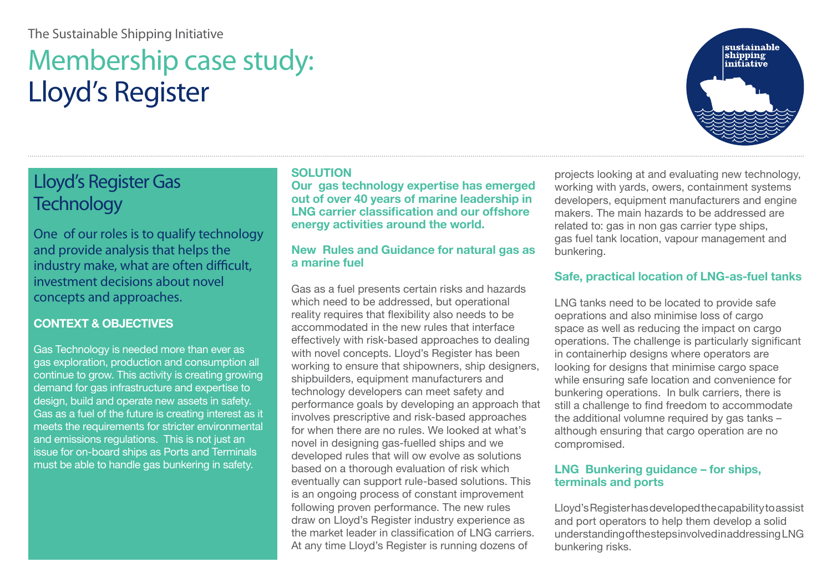### The Sustainable Shipping Initiative

# Membership case study: Lloyd's Register

# Lloyd's Register Gas **Technology**

One of our roles is to qualify technology and provide analysis that helps the industry make, what are often difficult, investment decisions about novel concepts and approaches.

### **CONTEXT & OBJECTIVES**

Gas Technology is needed more than ever as gas exploration, production and consumption all continue to grow. This activity is creating growing demand for gas infrastructure and expertise to design, build and operate new assets in safety. Gas as a fuel of the future is creating interest as it meets the requirements for stricter environmental and emissions regulations. This is not just an issue for on-board ships as Ports and Terminals must be able to handle gas bunkering in safety.

#### **SOLUTION**

**Our gas technology expertise has emerged out of over 40 years of marine leadership in LNG carrier classification and our offshore energy activities around the world.** 

#### **New Rules and Guidance for natural gas as a marine fuel**

Gas as a fuel presents certain risks and hazards which need to be addressed, but operational reality requires that flexibility also needs to be accommodated in the new rules that interface effectively with risk-based approaches to dealing with novel concepts. Lloyd's Register has been working to ensure that shipowners, ship designers, shipbuilders, equipment manufacturers and technology developers can meet safety and performance goals by developing an approach that involves prescriptive and risk-based approaches for when there are no rules. We looked at what's novel in designing gas-fuelled ships and we developed rules that will ow evolve as solutions based on a thorough evaluation of risk which eventually can support rule-based solutions. This is an ongoing process of constant improvement following proven performance. The new rules draw on Lloyd's Register industry experience as the market leader in classification of LNG carriers. At any time Lloyd's Register is running dozens of

projects looking at and evaluating new technology, working with yards, owers, containment systems developers, equipment manufacturers and engine makers. The main hazards to be addressed are related to: gas in non gas carrier type ships. gas fuel tank location, vapour management and bunkering.

#### **Safe, practical location of LNG-as-fuel tanks**

LNG tanks need to be located to provide safe oeprations and also minimise loss of cargo space as well as reducing the impact on cargo operations. The challenge is particularly significant in containerhip designs where operators are looking for designs that minimise cargo space while ensuring safe location and convenience for bunkering operations. In bulk carriers, there is still a challenge to find freedom to accommodate the additional volumne required by gas tanks – although ensuring that cargo operation are no compromised.

#### **LNG Bunkering guidance – for ships, terminals and ports**

Lloyd's Register has developed the capability to assist and port operators to help them develop a solid understanding of the steps involved in addressing LNG bunkering risks.